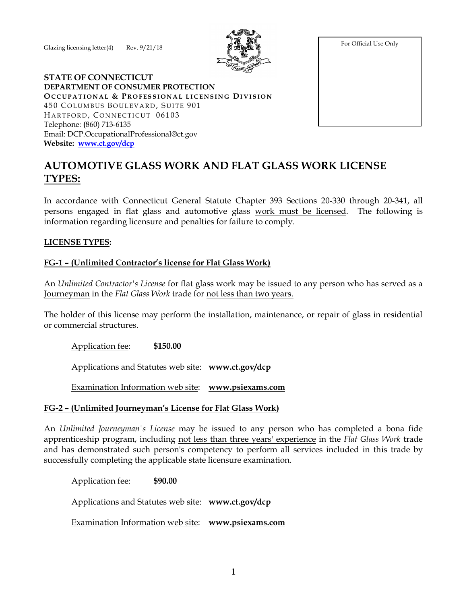Glazing licensing letter $(4)$  Rev.  $9/21/18$ 



For Official Use Only

#### **STATE OF CONNECTICUT DEPARTMENT OF CONSUMER PROTECTION OC C U P A T I O N A L & P R O F E S S I O N A L L I C E N S I N G DI V I S I O N** 450 COLUMBUS BOULEVARD, SUITE 901 HARTFORD, CONNECTICUT 06103 Telephone: **(**860) 713-6135 Email: DCP.OccupationalProfessional@ct.gov **Website: [www.ct.gov/dcp](http://www.ct.gov/dcp)**

# **AUTOMOTIVE GLASS WORK AND FLAT GLASS WORK LICENSE TYPES:**

In accordance with Connecticut General Statute Chapter 393 Sections 20-330 through 20-341, all persons engaged in flat glass and automotive glass work must be licensed. The following is information regarding licensure and penalties for failure to comply.

#### **LICENSE TYPES:**

## **FG-1 – (Unlimited Contractor's license for Flat Glass Work)**

An *Unlimited Contractor's License* for flat glass work may be issued to any person who has served as a Journeyman in the *Flat Glass Work* trade for not less than two years.

The holder of this license may perform the installation, maintenance, or repair of glass in residential or commercial structures.

Application fee: **\$150.00**

Applications and Statutes web site: **[www.ct.gov/dcp](http://www.ct.gov/dcp)**

Examination Information web site: **[www.psiexams.com](http://www.psiexams.com/)**

#### **FG-2 – (Unlimited Journeyman's License for Flat Glass Work)**

An *Unlimited Journeyman's License* may be issued to any person who has completed a bona fide apprenticeship program, including not less than three years' experience in the *Flat Glass Work* trade and has demonstrated such person's competency to perform all services included in this trade by successfully completing the applicable state licensure examination.

Application fee: **\$90.00**

Applications and Statutes web site: **[www.ct.gov/dcp](http://www.ct.gov/dcp)**

Examination Information web site: **[www.psiexams.com](http://www.psiexams.com/)**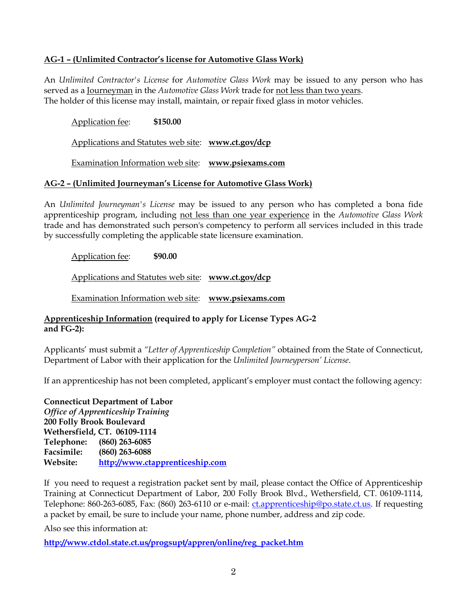## **AG-1 – (Unlimited Contractor's license for Automotive Glass Work)**

An *Unlimited Contractor's License* for *Automotive Glass Work* may be issued to any person who has served as a Journeyman in the *Automotive Glass Work* trade for not less than two years. The holder of this license may install, maintain, or repair fixed glass in motor vehicles.

Application fee: **\$150.00**

Applications and Statutes web site: **[www.ct.gov/dcp](http://www.ct.gov/dcp)**

Examination Information web site: **[www.psiexams.com](http://www.psiexams.com/)**

#### **AG-2 – (Unlimited Journeyman's License for Automotive Glass Work)**

An *Unlimited Journeyman's License* may be issued to any person who has completed a bona fide apprenticeship program, including not less than one year experience in the *Automotive Glass Work* trade and has demonstrated such person's competency to perform all services included in this trade by successfully completing the applicable state licensure examination.

Application fee: **\$90.00**

Applications and Statutes web site: **[www.ct.gov/dcp](http://www.ct.gov/dcp)**

Examination Information web site: **[www.psiexams.com](http://www.psiexams.com/)**

## **Apprenticeship Information (required to apply for License Types AG-2 and FG-2):**

Applicants' must submit a *"Letter of Apprenticeship Completion"* obtained from the State of Connecticut, Department of Labor with their application for the *Unlimited Journeyperson' License*.

If an apprenticeship has not been completed, applicant's employer must contact the following agency:

**Connecticut Department of Labor** *Office of Apprenticeship Training* **200 Folly Brook Boulevard Wethersfield, CT. 06109-1114 Telephone: (860) 263-6085 Facsimile: (860) 263-6088 Website: [http://www.ctapprenticeship.com](http://www.ctapprenticeship.com/)**

If you need to request a registration packet sent by mail, please contact the Office of Apprenticeship Training at Connecticut Department of Labor, 200 Folly Brook Blvd., Wethersfield, CT. 06109-1114, Telephone: 860-263-6085, Fax: (860) 263-6110 or e-mail: [ct.apprenticeship@po.state.ct.us.](mailto:ct.apprenticeship@po.state.ct.us) If requesting a packet by email, be sure to include your name, phone number, address and zip code.

Also see this information at:

**[http://www.ctdol.state.ct.us/progsupt/appren/online/reg\\_packet.htm](http://www.ctdol.state.ct.us/progsupt/appren/online/reg_packet.htm)**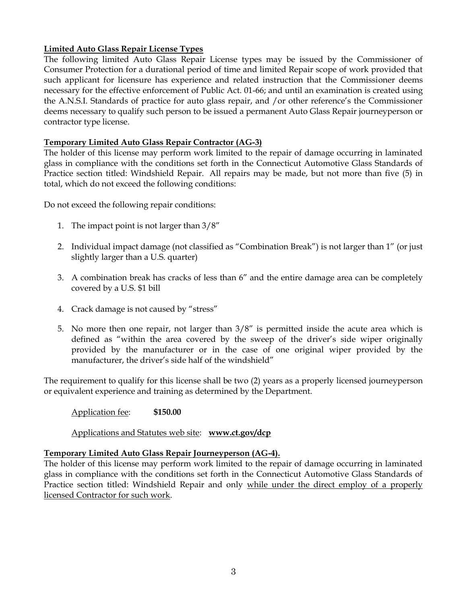## **Limited Auto Glass Repair License Types**

The following limited Auto Glass Repair License types may be issued by the Commissioner of Consumer Protection for a durational period of time and limited Repair scope of work provided that such applicant for licensure has experience and related instruction that the Commissioner deems necessary for the effective enforcement of Public Act. 01-66; and until an examination is created using the A.N.S.I. Standards of practice for auto glass repair, and /or other reference's the Commissioner deems necessary to qualify such person to be issued a permanent Auto Glass Repair journeyperson or contractor type license.

## **Temporary Limited Auto Glass Repair Contractor (AG-3)**

The holder of this license may perform work limited to the repair of damage occurring in laminated glass in compliance with the conditions set forth in the Connecticut Automotive Glass Standards of Practice section titled: Windshield Repair. All repairs may be made, but not more than five (5) in total, which do not exceed the following conditions:

Do not exceed the following repair conditions:

- 1. The impact point is not larger than 3/8"
- 2. Individual impact damage (not classified as "Combination Break") is not larger than 1" (or just slightly larger than a U.S. quarter)
- 3. A combination break has cracks of less than 6" and the entire damage area can be completely covered by a U.S. \$1 bill
- 4. Crack damage is not caused by "stress"
- 5. No more then one repair, not larger than 3/8" is permitted inside the acute area which is defined as "within the area covered by the sweep of the driver's side wiper originally provided by the manufacturer or in the case of one original wiper provided by the manufacturer, the driver's side half of the windshield"

The requirement to qualify for this license shall be two (2) years as a properly licensed journeyperson or equivalent experience and training as determined by the Department.

Application fee: **\$150.00**

Applications and Statutes web site: **[www.ct.gov/dcp](http://www.ct.gov/dcp)**

#### **Temporary Limited Auto Glass Repair Journeyperson (AG-4).**

The holder of this license may perform work limited to the repair of damage occurring in laminated glass in compliance with the conditions set forth in the Connecticut Automotive Glass Standards of Practice section titled: Windshield Repair and only while under the direct employ of a properly licensed Contractor for such work.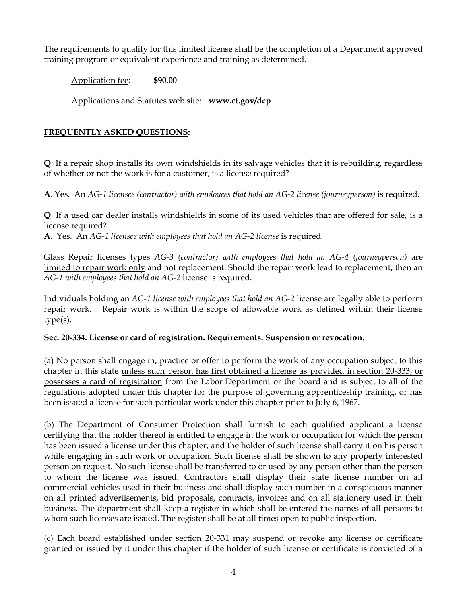The requirements to qualify for this limited license shall be the completion of a Department approved training program or equivalent experience and training as determined.

Application fee: **\$90.00**

Applications and Statutes web site: **[www.ct.gov/dcp](http://www.ct.gov/dcp)**

# **FREQUENTLY ASKED QUESTIONS:**

**Q**: If a repair shop installs its own windshields in its salvage vehicles that it is rebuilding, regardless of whether or not the work is for a customer, is a license required?

**A**. Yes. An *AG-1 licensee (contractor) with employees that hold an AG-2 license (journeyperson)* is required.

**Q**. If a used car dealer installs windshields in some of its used vehicles that are offered for sale, is a license required?

**A**. Yes. An *AG-1 licensee with employees that hold an AG-2 license* is required.

Glass Repair licenses types *AG-3 (contractor) with employees that hold an AG-4 (journeyperson)* are limited to repair work only and not replacement. Should the repair work lead to replacement, then an *AG-1 with employees that hold an AG-2* license is required.

Individuals holding an *AG-1 license with employees that hold an AG-2* license are legally able to perform repair work. Repair work is within the scope of allowable work as defined within their license type(s).

#### **Sec. 20-334. License or card of registration. Requirements. Suspension or revocation**.

(a) No person shall engage in, practice or offer to perform the work of any occupation subject to this chapter in this state unless such person has first obtained a license as provided in section 20-333, or possesses a card of registration from the Labor Department or the board and is subject to all of the regulations adopted under this chapter for the purpose of governing apprenticeship training, or has been issued a license for such particular work under this chapter prior to July 6, 1967.

(b) The Department of Consumer Protection shall furnish to each qualified applicant a license certifying that the holder thereof is entitled to engage in the work or occupation for which the person has been issued a license under this chapter, and the holder of such license shall carry it on his person while engaging in such work or occupation. Such license shall be shown to any properly interested person on request. No such license shall be transferred to or used by any person other than the person to whom the license was issued. Contractors shall display their state license number on all commercial vehicles used in their business and shall display such number in a conspicuous manner on all printed advertisements, bid proposals, contracts, invoices and on all stationery used in their business. The department shall keep a register in which shall be entered the names of all persons to whom such licenses are issued. The register shall be at all times open to public inspection.

(c) Each board established under section 20-331 may suspend or revoke any license or certificate granted or issued by it under this chapter if the holder of such license or certificate is convicted of a